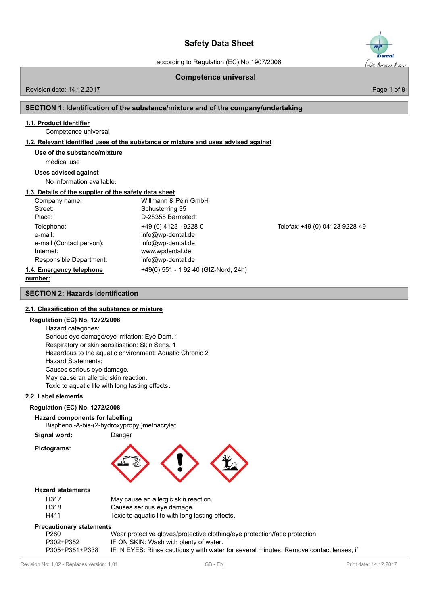according to Regulation (EC) No 1907/2006

## **Competence universal**

Revision date: 14.12.2017

### SECTION 1: Identification of the substance/mixture and of the company/undertaking

## 1.1. Product identifier

Competence universal

## 1.2. Relevant identified uses of the substance or mixture and uses advised against

#### Use of the substance/mixture

medical use

#### **Uses advised against**

No information available.

## 1.3. Details of the supplier of the safety data sheet

| Company name:            | Willmann & Pein GmbH                 |     |
|--------------------------|--------------------------------------|-----|
| Street:                  | Schusterring 35                      |     |
| Place:                   | D-25355 Barmstedt                    |     |
| Telephone:               | +49 (0) 4123 - 9228-0                | Tel |
| e-mail:                  | info@wp-dental.de                    |     |
| e-mail (Contact person): | info@wp-dental.de                    |     |
| Internet:                | www.wpdental.de                      |     |
| Responsible Department:  | info@wp-dental.de                    |     |
| 1.4. Emergency telephone | +49(0) 551 - 1 92 40 (GIZ-Nord, 24h) |     |

lefax: +49 (0) 04123 9228-49

#### number:

### **SECTION 2: Hazards identification**

### 2.1. Classification of the substance or mixture

## **Regulation (EC) No. 1272/2008**

Hazard categories: Serious eye damage/eye irritation: Eye Dam. 1 Respiratory or skin sensitisation: Skin Sens. 1 Hazardous to the aquatic environment: Aquatic Chronic 2 Hazard Statements: Causes serious eve damage. May cause an allergic skin reaction. Toxic to aquatic life with long lasting effects.

#### 2.2. Label elements

## **Regulation (EC) No. 1272/2008**

### **Hazard components for labelling**

Bisphenol-A-bis-(2-hydroxypropyl)methacrylat

Danger

Signal word:

**Pictograms:** 



#### **Hazard statements**

| H317 | May cause an allergic skin reaction.             |
|------|--------------------------------------------------|
| H318 | Causes serious eye damage.                       |
| H411 | Toxic to aguatic life with long lasting effects. |
| .    |                                                  |

#### **Procautionary statements**

| P <sub>280</sub> | Wear protective gloves/protective clothing/eye protection/face protection.             |
|------------------|----------------------------------------------------------------------------------------|
| P302+P352        | IF ON SKIN: Wash with plenty of water.                                                 |
| P305+P351+P338   | IF IN EYES: Rinse cautiously with water for several minutes. Remove contact lenses, if |



Page 1 of 8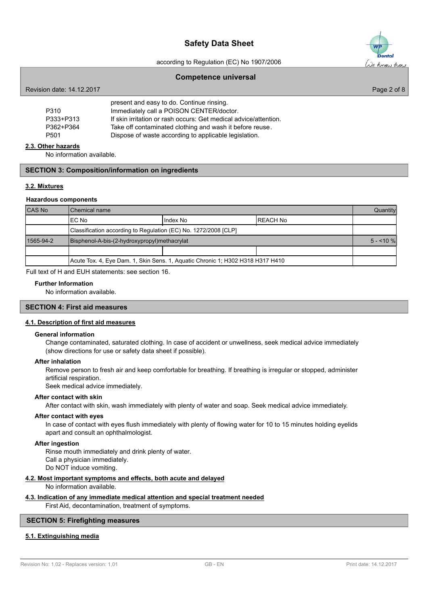

according to Regulation (EC) No 1907/2006

#### **Competence universal**

| Revision date: 14.12.2017 |                                                                  | Page 2 of 8 |
|---------------------------|------------------------------------------------------------------|-------------|
|                           | present and easy to do. Continue rinsing.                        |             |
| P310                      | Immediately call a POISON CENTER/doctor.                         |             |
| P333+P313                 | If skin irritation or rash occurs: Get medical advice/attention. |             |
| P362+P364                 | Take off contaminated clothing and wash it before reuse.         |             |
| P <sub>501</sub>          | Dispose of waste according to applicable legislation.            |             |
|                           |                                                                  |             |

#### 2.3. Other hazards

No information available.

### **SECTION 3: Composition/information on ingredients**

## 3.2. Mixtures

#### **Hazardous components**

| <b>CAS No</b> | l Chemical name                                                                |          |           | Quantity   |
|---------------|--------------------------------------------------------------------------------|----------|-----------|------------|
|               | IEC No                                                                         | Index No | IREACH No |            |
|               | Classification according to Regulation (EC) No. 1272/2008 [CLP]                |          |           |            |
| 1565-94-2     | Bisphenol-A-bis-(2-hydroxypropyl)methacrylat                                   |          |           | $5 - 10$ % |
|               |                                                                                |          |           |            |
|               | Acute Tox. 4, Eye Dam. 1, Skin Sens. 1, Aquatic Chronic 1; H302 H318 H317 H410 |          |           |            |

Full text of H and EUH statements: see section 16.

#### **Further Information**

No information available.

#### **SECTION 4: First aid measures**

#### 4.1. Description of first aid measures

#### **General information**

Change contaminated, saturated clothing. In case of accident or unwellness, seek medical advice immediately (show directions for use or safety data sheet if possible).

#### **After inhalation**

Remove person to fresh air and keep comfortable for breathing. If breathing is irregular or stopped, administer artificial respiration.

Seek medical advice immediately.

#### After contact with skin

After contact with skin, wash immediately with plenty of water and soap. Seek medical advice immediately.

#### After contact with eyes

In case of contact with eyes flush immediately with plenty of flowing water for 10 to 15 minutes holding eyelids apart and consult an ophthalmologist.

#### **After ingestion**

Rinse mouth immediately and drink plenty of water. Call a physician immediately. Do NOT induce vomiting.

#### 4.2. Most important symptoms and effects, both acute and delayed

No information available.

#### 4.3. Indication of any immediate medical attention and special treatment needed

First Aid, decontamination, treatment of symptoms.

## **SECTION 5: Firefighting measures**

## 5.1. Extinguishing media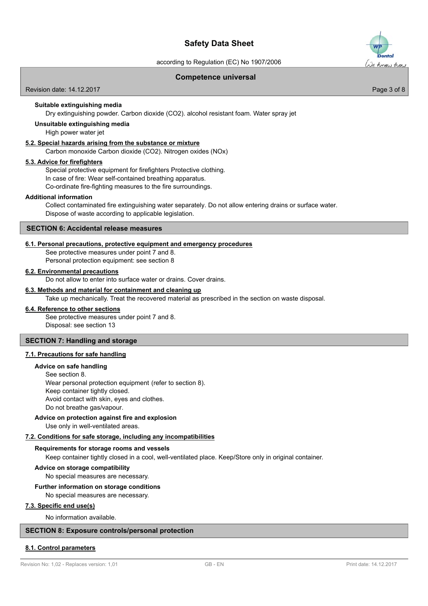according to Regulation (EC) No 1907/2006

### **Competence universal**

Revision date: 14.12.2017

### Suitable extinguishing media

Dry extinguishing powder. Carbon dioxide (CO2). alcohol resistant foam. Water spray jet

Unsuitable extinguishing media

High power water jet

#### 5.2. Special hazards arising from the substance or mixture

Carbon monoxide Carbon dioxide (CO2). Nitrogen oxides (NOx)

#### 5.3. Advice for firefighters

Special protective equipment for firefighters Protective clothing. In case of fire: Wear self-contained breathing apparatus. Co-ordinate fire-fighting measures to the fire surroundings.

#### Additional information

Collect contaminated fire extinguishing water separately. Do not allow entering drains or surface water. Dispose of waste according to applicable legislation.

#### **SECTION 6: Accidental release measures**

#### 6.1. Personal precautions, protective equipment and emergency procedures

See protective measures under point 7 and 8. Personal protection equipment: see section 8

#### 6.2. Environmental precautions

Do not allow to enter into surface water or drains. Cover drains.

#### 6.3. Methods and material for containment and cleaning up

Take up mechanically. Treat the recovered material as prescribed in the section on waste disposal.

#### 6.4. Reference to other sections

See protective measures under point 7 and 8. Disposal: see section 13

#### **SECTION 7: Handling and storage**

#### 7.1. Precautions for safe handling

## Advice on safe handling

See section 8.

Wear personal protection equipment (refer to section 8). Keep container tightly closed. Avoid contact with skin, eyes and clothes. Do not breathe gas/vapour.

# Advice on protection against fire and explosion

Use only in well-ventilated areas.

## 7.2. Conditions for safe storage, including any incompatibilities

#### Requirements for storage rooms and vessels

Keep container tightly closed in a cool, well-ventilated place. Keep/Store only in original container.

#### Advice on storage compatibility

No special measures are necessary.

#### Further information on storage conditions

No special measures are necessary.

#### 7.3. Specific end use(s)

No information available

## **SECTION 8: Exposure controls/personal protection**

## 8.1. Control parameters



Page 3 of 8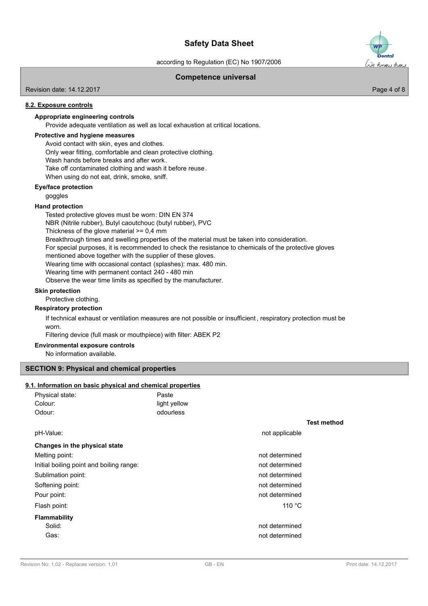according to Regulation (EC) No 1907/2006

### **Competence universal**

Revision date: 14.12.2017

#### 8.2. Exposure controls

#### Appropriate engineering controls

Provide adequate ventilation as well as local exhaustion at critical locations.

#### **Protective and hygiene measures**

Avoid contact with skin, eyes and clothes.

Only wear fitting, comfortable and clean protective clothing.

Wash hands before breaks and after work

Take off contaminated clothing and wash it before reuse.

When using do not eat, drink, smoke, sniff.

## Eye/face protection

goggles

#### **Hand protection**

Tested protective aloves must be worn: DIN EN 374 NBR (Nitrile rubber), Butyl caoutchouc (butyl rubber), PVC Thickness of the glove material >= 0,4 mm Breakthrough times and swelling properties of the material must be taken into consideration. For special purposes, it is recommended to check the resistance to chemicals of the protective gloves mentioned above together with the supplier of these gloves. Wearing time with occasional contact (splashes): max. 480 min. Wearing time with permanent contact 240 - 480 min Observe the wear time limits as specified by the manufacturer.

#### **Skin protection**

Protective clothing.

#### **Respiratory protection**

If technical exhaust or ventilation measures are not possible or insufficient, respiratory protection must be worn

Filtering device (full mask or mouthpiece) with filter: ABEK P2

#### **Environmental exposure controls**

No information available.

## **SECTION 9: Physical and chemical properties**

#### 9.1. Information on basic physical and chemical properties

| Physical state:<br>Colour:<br>Odour:                                                        | Paste<br>light yellow<br>odourless |
|---------------------------------------------------------------------------------------------|------------------------------------|
| pH-Value:                                                                                   |                                    |
| Changes in the physical state<br>Melting point:<br>Initial boiling point and boiling range: |                                    |

Sublimation point:

Softening point:

Pour point:

Flash point:

#### **Flammability** Solid:

Gas:

**Test method** 

not applicable

not determined not determined not determined not determined not determined  $110 °C$ 

not determined not determined



Page 4 of 8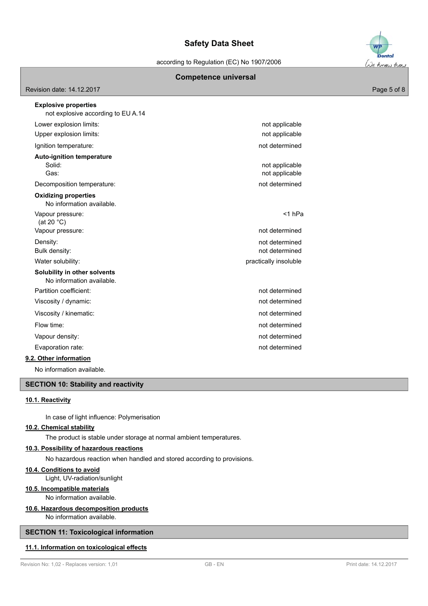according to Regulation (EC) No 1907/2006

## **Competence universal**

Revision date: 14.12.2017

**Explosive properties** 

| not explosive according to EU A.14                        |                                  |
|-----------------------------------------------------------|----------------------------------|
| Lower explosion limits:                                   | not applicable                   |
| Upper explosion limits:                                   | not applicable                   |
| Ignition temperature:                                     | not determined                   |
| <b>Auto-ignition temperature</b><br>Solid:<br>Gas:        | not applicable<br>not applicable |
| Decomposition temperature:                                | not determined                   |
| <b>Oxidizing properties</b><br>No information available.  |                                  |
| Vapour pressure:<br>(at 20 $°C$ )                         | $<$ 1 hPa                        |
| Vapour pressure:                                          | not determined                   |
| Density:                                                  | not determined                   |
| Bulk density:                                             | not determined                   |
| Water solubility:                                         | practically insoluble            |
| Solubility in other solvents<br>No information available. |                                  |
| Partition coefficient:                                    | not determined                   |
| Viscosity / dynamic:                                      | not determined                   |
| Viscosity / kinematic:                                    | not determined                   |
| Flow time:                                                | not determined                   |
| Vapour density:                                           | not determined                   |
| Evaporation rate:                                         | not determined                   |
| 9.2. Other information                                    |                                  |

No information available.

### **SECTION 10: Stability and reactivity**

## 10.1. Reactivity

In case of light influence: Polymerisation

#### 10.2. Chemical stability

The product is stable under storage at normal ambient temperatures.

## 10.3. Possibility of hazardous reactions

No hazardous reaction when handled and stored according to provisions.

#### 10.4. Conditions to avoid

Light, UV-radiation/sunlight

### 10.5. Incompatible materials

No information available.

## 10.6. Hazardous decomposition products

No information available.

## **SECTION 11: Toxicological information**

## 11.1. Information on toxicological effects

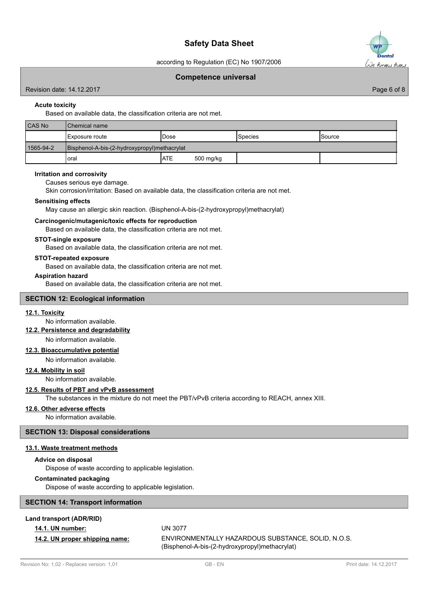

according to Regulation (EC) No 1907/2006

#### **Competence universal**

Revision date: 14.12.2017

Page 6 of 8

### **Acute toxicity**

Based on available data, the classification criteria are not met.

| <b>CAS No</b> | <b>IChemical name</b>                        |            |           |                 |                 |
|---------------|----------------------------------------------|------------|-----------|-----------------|-----------------|
|               | Exposure route                               | Dose       |           | <b>S</b> pecies | <b>I</b> Source |
| 1565-94-2     | Bisphenol-A-bis-(2-hydroxypropyl)methacrylat |            |           |                 |                 |
|               | oral                                         | <b>ATE</b> | 500 mg/kg |                 |                 |

#### **Irritation and corrosivity**

Causes serious eye damage.

Skin corrosion/irritation: Based on available data, the classification criteria are not met.

#### **Sensitising effects**

May cause an allergic skin reaction. (Bisphenol-A-bis-(2-hydroxypropyl)methacrylat)

#### Carcinogenic/mutagenic/toxic effects for reproduction

Based on available data, the classification criteria are not met.

#### **STOT-single exposure**

Based on available data, the classification criteria are not met.

#### **STOT-repeated exposure**

Based on available data, the classification criteria are not met.

#### **Aspiration hazard**

Based on available data, the classification criteria are not met.

#### **SECTION 12: Ecological information**

### 12.1. Toxicity

No information available.

## 12.2. Persistence and degradability

No information available.

## 12.3. Bioaccumulative potential

No information available.

## 12.4. Mobility in soil

No information available.

### 12.5. Results of PBT and vPvB assessment

The substances in the mixture do not meet the PBT/vPvB criteria according to REACH, annex XIII.

## 12.6. Other adverse effects

No information available

#### **SECTION 13: Disposal considerations**

#### 13.1. Waste treatment methods

## Advice on disposal

Dispose of waste according to applicable legislation.

### **Contaminated packaging**

Dispose of waste according to applicable legislation.

## **SECTION 14: Transport information**

#### **Land transport (ADR/RID)**

#### 14.1. UN number:

**UN 3077** 

## 14.2. UN proper shipping name:

ENVIRONMENTALLY HAZARDOUS SUBSTANCE, SOLID, N.O.S. (Bisphenol-A-bis-(2-hydroxypropyl)methacrylat)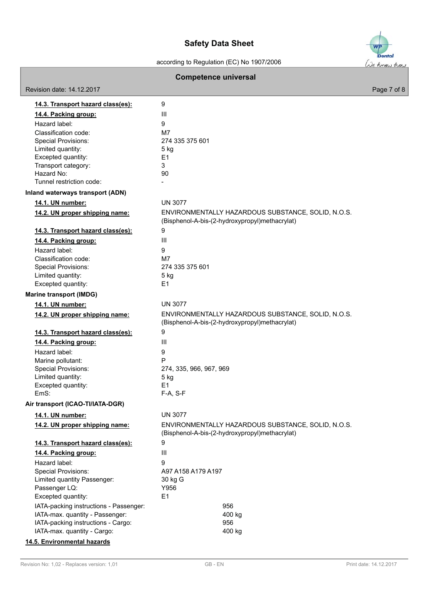according to Regulation (EC) No 1907/2006

# **Competence universal**



| Revision date: 14.12.2017              |                                                                                                      | Page 7 of 8 |
|----------------------------------------|------------------------------------------------------------------------------------------------------|-------------|
| 14.3. Transport hazard class(es):      | 9                                                                                                    |             |
| 14.4. Packing group:                   | III                                                                                                  |             |
| Hazard label:                          | 9                                                                                                    |             |
| Classification code:                   | M7                                                                                                   |             |
| Special Provisions:                    | 274 335 375 601                                                                                      |             |
| Limited quantity:                      | 5 kg                                                                                                 |             |
| Excepted quantity:                     | E <sub>1</sub>                                                                                       |             |
| Transport category:                    | 3                                                                                                    |             |
| Hazard No:                             | 90                                                                                                   |             |
| Tunnel restriction code:               |                                                                                                      |             |
| Inland waterways transport (ADN)       |                                                                                                      |             |
| 14.1. UN number:                       | <b>UN 3077</b>                                                                                       |             |
| 14.2. UN proper shipping name:         | ENVIRONMENTALLY HAZARDOUS SUBSTANCE, SOLID, N.O.S.<br>(Bisphenol-A-bis-(2-hydroxypropyl)methacrylat) |             |
| 14.3. Transport hazard class(es):      | 9                                                                                                    |             |
| 14.4. Packing group:                   | III                                                                                                  |             |
| Hazard label:                          | 9                                                                                                    |             |
| Classification code:                   | M7                                                                                                   |             |
| <b>Special Provisions:</b>             | 274 335 375 601                                                                                      |             |
| Limited quantity:                      | 5 kg                                                                                                 |             |
| Excepted quantity:                     | E1                                                                                                   |             |
| <b>Marine transport (IMDG)</b>         |                                                                                                      |             |
| 14.1. UN number:                       | <b>UN 3077</b>                                                                                       |             |
| 14.2. UN proper shipping name:         | ENVIRONMENTALLY HAZARDOUS SUBSTANCE, SOLID, N.O.S.<br>(Bisphenol-A-bis-(2-hydroxypropyl)methacrylat) |             |
| 14.3. Transport hazard class(es):      | 9                                                                                                    |             |
| 14.4. Packing group:                   | III                                                                                                  |             |
| Hazard label:                          | 9                                                                                                    |             |
| Marine pollutant:                      | P                                                                                                    |             |
| <b>Special Provisions:</b>             | 274, 335, 966, 967, 969                                                                              |             |
| Limited quantity:                      | 5 kg                                                                                                 |             |
| Excepted quantity:                     | E1                                                                                                   |             |
| EmS:                                   | F-A, S-F                                                                                             |             |
| Air transport (ICAO-TI/IATA-DGR)       |                                                                                                      |             |
| 14.1. UN number:                       | <b>UN 3077</b>                                                                                       |             |
| 14.2. UN proper shipping name:         | ENVIRONMENTALLY HAZARDOUS SUBSTANCE, SOLID, N.O.S.<br>(Bisphenol-A-bis-(2-hydroxypropyl)methacrylat) |             |
| 14.3. Transport hazard class(es):      | 9                                                                                                    |             |
| 14.4. Packing group:                   | Ш                                                                                                    |             |
| Hazard label:                          | 9                                                                                                    |             |
| <b>Special Provisions:</b>             | A97 A158 A179 A197                                                                                   |             |
| Limited quantity Passenger:            | 30 kg G                                                                                              |             |
| Passenger LQ:                          | Y956                                                                                                 |             |
| Excepted quantity:                     | E <sub>1</sub>                                                                                       |             |
| IATA-packing instructions - Passenger: | 956                                                                                                  |             |
| IATA-max. quantity - Passenger:        | 400 kg                                                                                               |             |
| IATA-packing instructions - Cargo:     | 956                                                                                                  |             |
| IATA-max. quantity - Cargo:            | 400 kg                                                                                               |             |

## 14.5. Environmental hazards